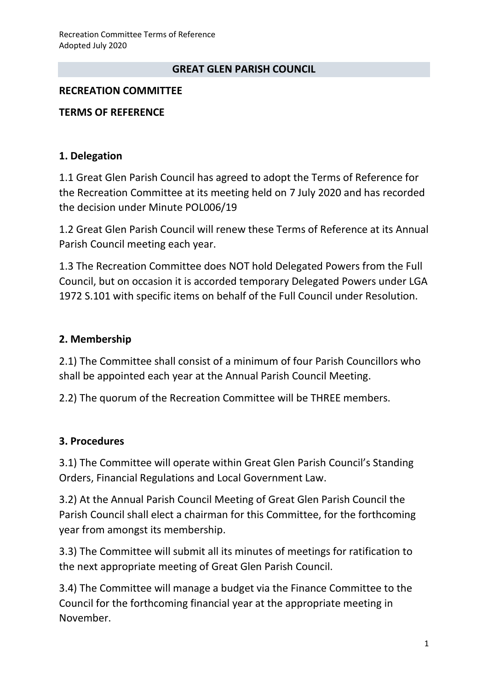#### **GREAT GLEN PARISH COUNCIL**

#### **RECREATION COMMITTEE**

#### **TERMS OF REFERENCE**

#### **1. Delegation**

1.1 Great Glen Parish Council has agreed to adopt the Terms of Reference for the Recreation Committee at its meeting held on 7 July 2020 and has recorded the decision under Minute POL006/19

1.2 Great Glen Parish Council will renew these Terms of Reference at its Annual Parish Council meeting each year.

1.3 The Recreation Committee does NOT hold Delegated Powers from the Full Council, but on occasion it is accorded temporary Delegated Powers under LGA 1972 S.101 with specific items on behalf of the Full Council under Resolution.

#### **2. Membership**

2.1) The Committee shall consist of a minimum of four Parish Councillors who shall be appointed each year at the Annual Parish Council Meeting.

2.2) The quorum of the Recreation Committee will be THREE members.

### **3. Procedures**

3.1) The Committee will operate within Great Glen Parish Council's Standing Orders, Financial Regulations and Local Government Law.

3.2) At the Annual Parish Council Meeting of Great Glen Parish Council the Parish Council shall elect a chairman for this Committee, for the forthcoming year from amongst its membership.

3.3) The Committee will submit all its minutes of meetings for ratification to the next appropriate meeting of Great Glen Parish Council.

3.4) The Committee will manage a budget via the Finance Committee to the Council for the forthcoming financial year at the appropriate meeting in November.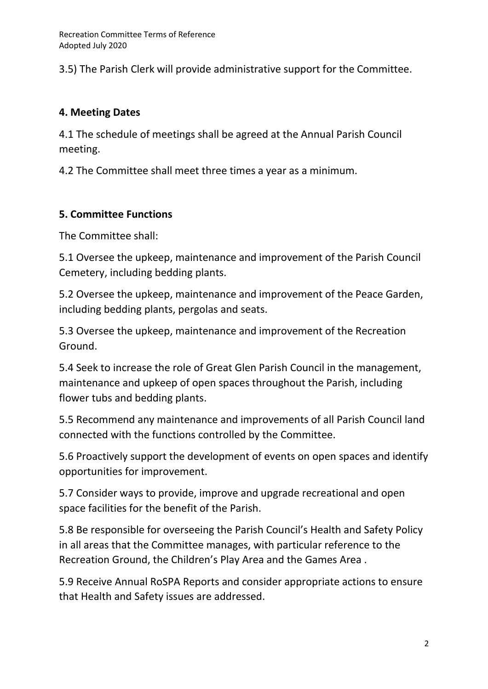3.5) The Parish Clerk will provide administrative support for the Committee.

## **4. Meeting Dates**

4.1 The schedule of meetings shall be agreed at the Annual Parish Council meeting.

4.2 The Committee shall meet three times a year as a minimum.

# **5. Committee Functions**

The Committee shall:

5.1 Oversee the upkeep, maintenance and improvement of the Parish Council Cemetery, including bedding plants.

5.2 Oversee the upkeep, maintenance and improvement of the Peace Garden, including bedding plants, pergolas and seats.

5.3 Oversee the upkeep, maintenance and improvement of the Recreation Ground.

5.4 Seek to increase the role of Great Glen Parish Council in the management, maintenance and upkeep of open spaces throughout the Parish, including flower tubs and bedding plants.

5.5 Recommend any maintenance and improvements of all Parish Council land connected with the functions controlled by the Committee.

5.6 Proactively support the development of events on open spaces and identify opportunities for improvement.

5.7 Consider ways to provide, improve and upgrade recreational and open space facilities for the benefit of the Parish.

5.8 Be responsible for overseeing the Parish Council's Health and Safety Policy in all areas that the Committee manages, with particular reference to the Recreation Ground, the Children's Play Area and the Games Area .

5.9 Receive Annual RoSPA Reports and consider appropriate actions to ensure that Health and Safety issues are addressed.